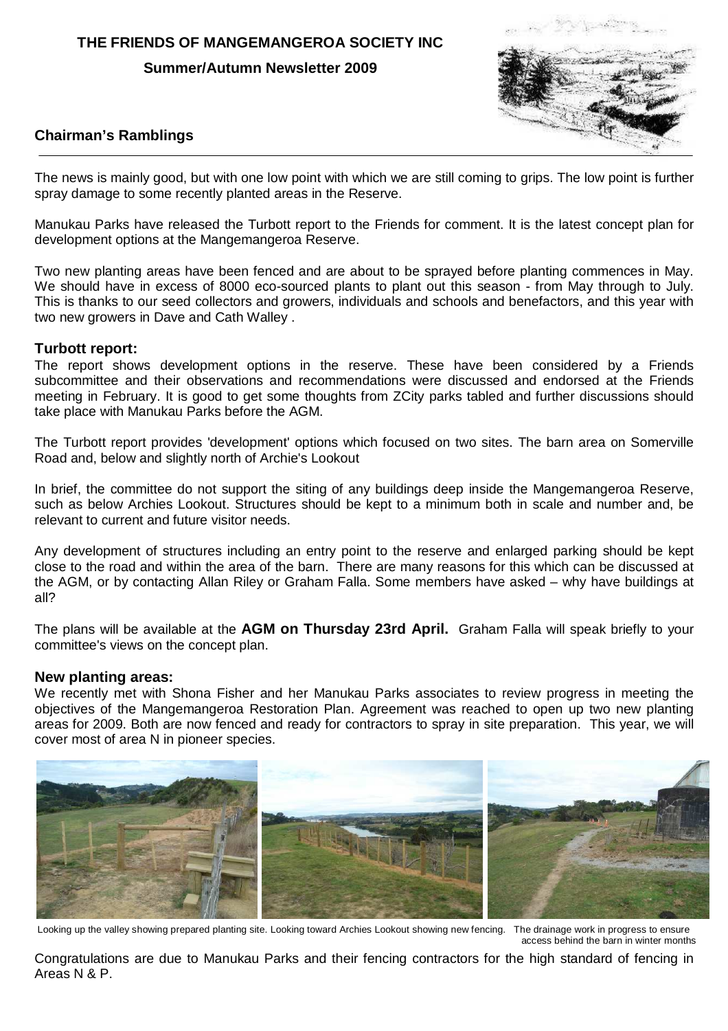## **THE FRIENDS OF MANGEMANGEROA SOCIETY INC**

**Summer/Autumn Newsletter 2009** 



## **Chairman's Ramblings**

The news is mainly good, but with one low point with which we are still coming to grips. The low point is further spray damage to some recently planted areas in the Reserve.

Manukau Parks have released the Turbott report to the Friends for comment. It is the latest concept plan for development options at the Mangemangeroa Reserve.

Two new planting areas have been fenced and are about to be sprayed before planting commences in May. We should have in excess of 8000 eco-sourced plants to plant out this season - from May through to July. This is thanks to our seed collectors and growers, individuals and schools and benefactors, and this year with two new growers in Dave and Cath Walley .

## **Turbott report:**

The report shows development options in the reserve. These have been considered by a Friends subcommittee and their observations and recommendations were discussed and endorsed at the Friends meeting in February. It is good to get some thoughts from ZCity parks tabled and further discussions should take place with Manukau Parks before the AGM.

The Turbott report provides 'development' options which focused on two sites. The barn area on Somerville Road and, below and slightly north of Archie's Lookout

In brief, the committee do not support the siting of any buildings deep inside the Mangemangeroa Reserve, such as below Archies Lookout. Structures should be kept to a minimum both in scale and number and, be relevant to current and future visitor needs.

Any development of structures including an entry point to the reserve and enlarged parking should be kept close to the road and within the area of the barn. There are many reasons for this which can be discussed at the AGM, or by contacting Allan Riley or Graham Falla. Some members have asked – why have buildings at all?

The plans will be available at the **AGM on Thursday 23rd April.** Graham Falla will speak briefly to your committee's views on the concept plan.

### **New planting areas:**

We recently met with Shona Fisher and her Manukau Parks associates to review progress in meeting the objectives of the Mangemangeroa Restoration Plan. Agreement was reached to open up two new planting areas for 2009. Both are now fenced and ready for contractors to spray in site preparation. This year, we will cover most of area N in pioneer species.



Looking up the valley showing prepared planting site. Looking toward Archies Lookout showing new fencing. The drainage work in progress to ensure access behind the barn in winter months

Congratulations are due to Manukau Parks and their fencing contractors for the high standard of fencing in Areas N & P.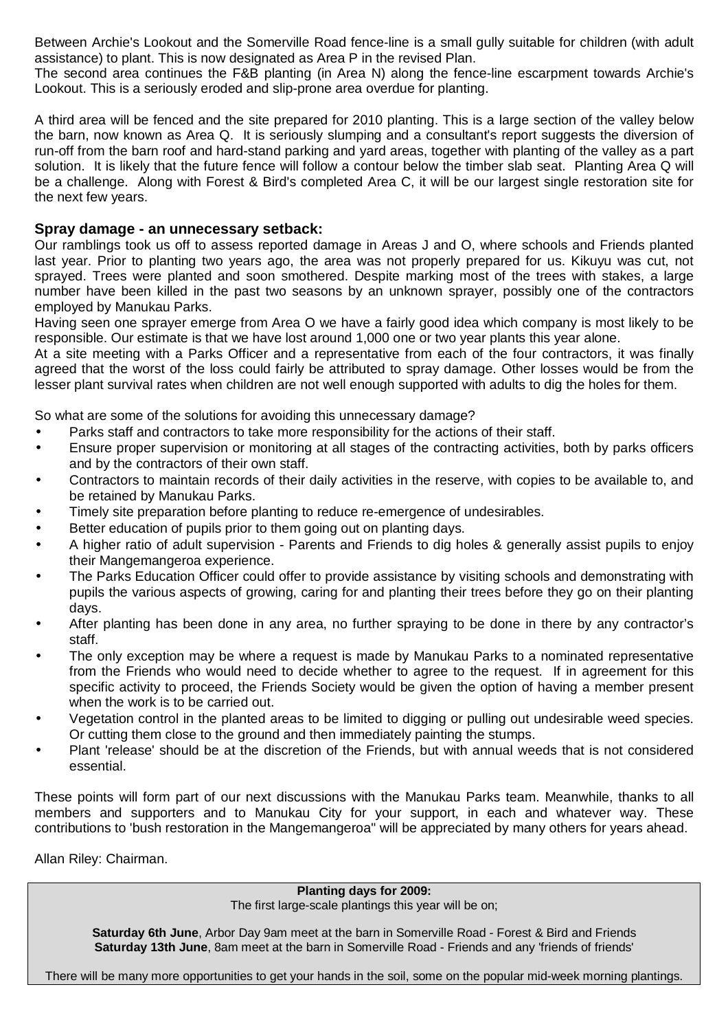Between Archie's Lookout and the Somerville Road fence-line is a small gully suitable for children (with adult assistance) to plant. This is now designated as Area P in the revised Plan.

The second area continues the F&B planting (in Area N) along the fence-line escarpment towards Archie's Lookout. This is a seriously eroded and slip-prone area overdue for planting.

A third area will be fenced and the site prepared for 2010 planting. This is a large section of the valley below the barn, now known as Area Q. It is seriously slumping and a consultant's report suggests the diversion of run-off from the barn roof and hard-stand parking and yard areas, together with planting of the valley as a part solution. It is likely that the future fence will follow a contour below the timber slab seat. Planting Area Q will be a challenge. Along with Forest & Bird's completed Area C, it will be our largest single restoration site for the next few years.

## **Spray damage - an unnecessary setback:**

Our ramblings took us off to assess reported damage in Areas J and O, where schools and Friends planted last year. Prior to planting two years ago, the area was not properly prepared for us. Kikuyu was cut, not sprayed. Trees were planted and soon smothered. Despite marking most of the trees with stakes, a large number have been killed in the past two seasons by an unknown sprayer, possibly one of the contractors employed by Manukau Parks.

Having seen one sprayer emerge from Area O we have a fairly good idea which company is most likely to be responsible. Our estimate is that we have lost around 1,000 one or two year plants this year alone.

At a site meeting with a Parks Officer and a representative from each of the four contractors, it was finally agreed that the worst of the loss could fairly be attributed to spray damage. Other losses would be from the lesser plant survival rates when children are not well enough supported with adults to dig the holes for them.

So what are some of the solutions for avoiding this unnecessary damage?

- Parks staff and contractors to take more responsibility for the actions of their staff.
- Ensure proper supervision or monitoring at all stages of the contracting activities, both by parks officers and by the contractors of their own staff.
- Contractors to maintain records of their daily activities in the reserve, with copies to be available to, and be retained by Manukau Parks.
- Timely site preparation before planting to reduce re-emergence of undesirables.
- Better education of pupils prior to them going out on planting days.
- A higher ratio of adult supervision Parents and Friends to dig holes & generally assist pupils to enjoy their Mangemangeroa experience.
- The Parks Education Officer could offer to provide assistance by visiting schools and demonstrating with pupils the various aspects of growing, caring for and planting their trees before they go on their planting days.
- After planting has been done in any area, no further spraying to be done in there by any contractor's staff.
- The only exception may be where a request is made by Manukau Parks to a nominated representative from the Friends who would need to decide whether to agree to the request. If in agreement for this specific activity to proceed, the Friends Society would be given the option of having a member present when the work is to be carried out.
- Vegetation control in the planted areas to be limited to digging or pulling out undesirable weed species. Or cutting them close to the ground and then immediately painting the stumps.
- Plant 'release' should be at the discretion of the Friends, but with annual weeds that is not considered essential.

These points will form part of our next discussions with the Manukau Parks team. Meanwhile, thanks to all members and supporters and to Manukau City for your support, in each and whatever way. These contributions to 'bush restoration in the Mangemangeroa" will be appreciated by many others for years ahead.

Allan Riley: Chairman.

**Planting days for 2009:** 

The first large-scale plantings this year will be on;

**Saturday 6th June**, Arbor Day 9am meet at the barn in Somerville Road - Forest & Bird and Friends **Saturday 13th June**, 8am meet at the barn in Somerville Road - Friends and any 'friends of friends'

There will be many more opportunities to get your hands in the soil, some on the popular mid-week morning plantings.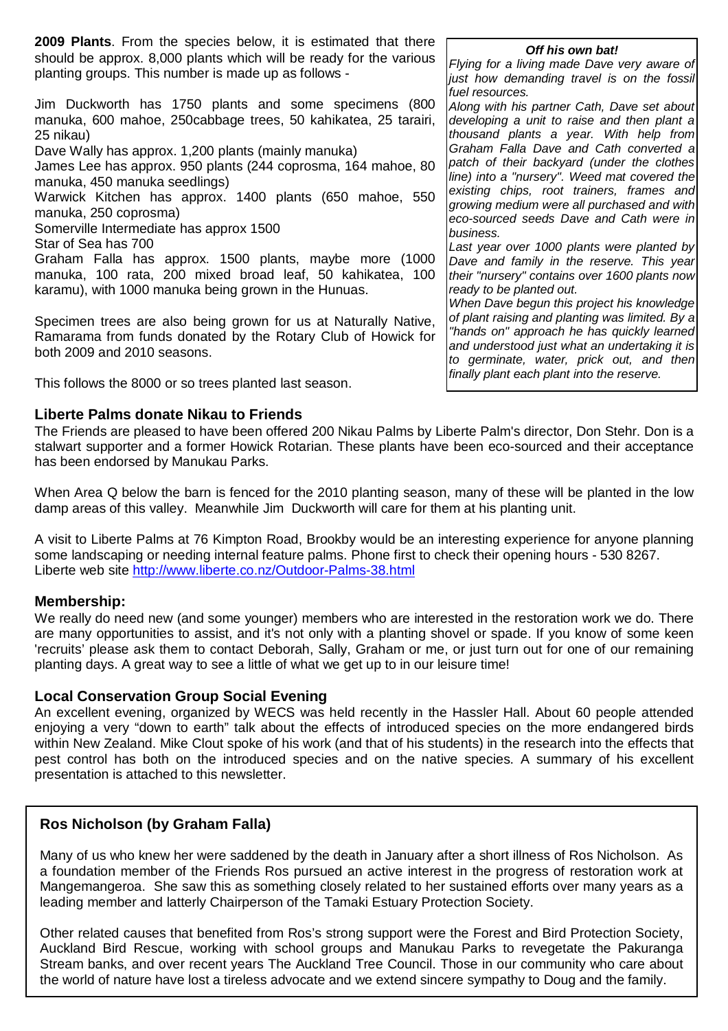**2009 Plants**. From the species below, it is estimated that there should be approx. 8,000 plants which will be ready for the various planting groups. This number is made up as follows -

Jim Duckworth has 1750 plants and some specimens (800 manuka, 600 mahoe, 250cabbage trees, 50 kahikatea, 25 tarairi, 25 nikau)

Dave Wally has approx. 1,200 plants (mainly manuka)

James Lee has approx. 950 plants (244 coprosma, 164 mahoe, 80 manuka, 450 manuka seedlings)

Warwick Kitchen has approx. 1400 plants (650 mahoe, 550 manuka, 250 coprosma)

Somerville Intermediate has approx 1500

Star of Sea has 700

Graham Falla has approx. 1500 plants, maybe more (1000 manuka, 100 rata, 200 mixed broad leaf, 50 kahikatea, 100 karamu), with 1000 manuka being grown in the Hunuas.

Specimen trees are also being grown for us at Naturally Native, Ramarama from funds donated by the Rotary Club of Howick for both 2009 and 2010 seasons.

This follows the 8000 or so trees planted last season.

## **Liberte Palms donate Nikau to Friends**

#### **Off his own bat!**

Flying for a living made Dave very aware of just how demanding travel is on the fossil fuel resources.

Along with his partner Cath, Dave set about developing a unit to raise and then plant a thousand plants a year. With help from Graham Falla Dave and Cath converted a patch of their backyard (under the clothes line) into a "nursery". Weed mat covered the existing chips, root trainers, frames and growing medium were all purchased and with eco-sourced seeds Dave and Cath were in business.

Last year over 1000 plants were planted by Dave and family in the reserve. This year their "nursery" contains over 1600 plants now ready to be planted out.

When Dave begun this project his knowledge of plant raising and planting was limited. By a "hands on" approach he has quickly learned and understood just what an undertaking it is to germinate, water, prick out, and then finally plant each plant into the reserve.

The Friends are pleased to have been offered 200 Nikau Palms by Liberte Palm's director, Don Stehr. Don is a stalwart supporter and a former Howick Rotarian. These plants have been eco-sourced and their acceptance has been endorsed by Manukau Parks.

When Area Q below the barn is fenced for the 2010 planting season, many of these will be planted in the low damp areas of this valley. Meanwhile Jim Duckworth will care for them at his planting unit.

A visit to Liberte Palms at 76 Kimpton Road, Brookby would be an interesting experience for anyone planning some landscaping or needing internal feature palms. Phone first to check their opening hours - 530 8267. Liberte web site http://www.liberte.co.nz/Outdoor-Palms-38.html

### **Membership:**

We really do need new (and some younger) members who are interested in the restoration work we do. There are many opportunities to assist, and it's not only with a planting shovel or spade. If you know of some keen 'recruits' please ask them to contact Deborah, Sally, Graham or me, or just turn out for one of our remaining planting days. A great way to see a little of what we get up to in our leisure time!

### **Local Conservation Group Social Evening**

An excellent evening, organized by WECS was held recently in the Hassler Hall. About 60 people attended enjoying a very "down to earth" talk about the effects of introduced species on the more endangered birds within New Zealand. Mike Clout spoke of his work (and that of his students) in the research into the effects that pest control has both on the introduced species and on the native species. A summary of his excellent presentation is attached to this newsletter.

## **Ros Nicholson (by Graham Falla)**

Many of us who knew her were saddened by the death in January after a short illness of Ros Nicholson. As a foundation member of the Friends Ros pursued an active interest in the progress of restoration work at Mangemangeroa. She saw this as something closely related to her sustained efforts over many years as a leading member and latterly Chairperson of the Tamaki Estuary Protection Society.

Other related causes that benefited from Ros's strong support were the Forest and Bird Protection Society, Auckland Bird Rescue, working with school groups and Manukau Parks to revegetate the Pakuranga Stream banks, and over recent years The Auckland Tree Council. Those in our community who care about the world of nature have lost a tireless advocate and we extend sincere sympathy to Doug and the family.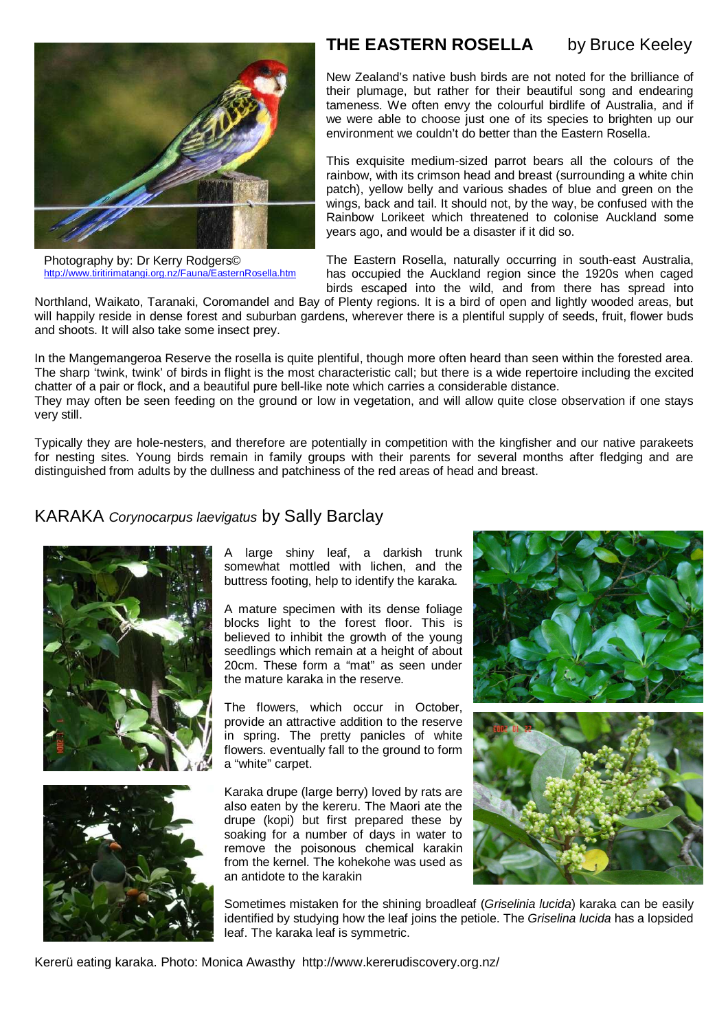

Photography by: Dr Kerry Rodgers© http://www.tiritirimatangi.org.nz/Fauna/EasternRosella.htm

# **THE EASTERN ROSELLA** by Bruce Keeley

New Zealand's native bush birds are not noted for the brilliance of their plumage, but rather for their beautiful song and endearing tameness. We often envy the colourful birdlife of Australia, and if we were able to choose just one of its species to brighten up our environment we couldn't do better than the Eastern Rosella.

This exquisite medium-sized parrot bears all the colours of the rainbow, with its crimson head and breast (surrounding a white chin patch), yellow belly and various shades of blue and green on the wings, back and tail. It should not, by the way, be confused with the Rainbow Lorikeet which threatened to colonise Auckland some years ago, and would be a disaster if it did so.

The Eastern Rosella, naturally occurring in south-east Australia, has occupied the Auckland region since the 1920s when caged birds escaped into the wild, and from there has spread into

Northland, Waikato, Taranaki, Coromandel and Bay of Plenty regions. It is a bird of open and lightly wooded areas, but will happily reside in dense forest and suburban gardens, wherever there is a plentiful supply of seeds, fruit, flower buds and shoots. It will also take some insect prey.

In the Mangemangeroa Reserve the rosella is quite plentiful, though more often heard than seen within the forested area. The sharp 'twink, twink' of birds in flight is the most characteristic call; but there is a wide repertoire including the excited chatter of a pair or flock, and a beautiful pure bell-like note which carries a considerable distance.

They may often be seen feeding on the ground or low in vegetation, and will allow quite close observation if one stays very still.

Typically they are hole-nesters, and therefore are potentially in competition with the kingfisher and our native parakeets for nesting sites. Young birds remain in family groups with their parents for several months after fledging and are distinguished from adults by the dullness and patchiness of the red areas of head and breast.

## KARAKA Corynocarpus laevigatus by Sally Barclay





A large shiny leaf, a darkish trunk somewhat mottled with lichen, and the buttress footing, help to identify the karaka.

A mature specimen with its dense foliage blocks light to the forest floor. This is believed to inhibit the growth of the young seedlings which remain at a height of about 20cm. These form a "mat" as seen under the mature karaka in the reserve.

The flowers, which occur in October, provide an attractive addition to the reserve in spring. The pretty panicles of white flowers. eventually fall to the ground to form a "white" carpet.

Karaka drupe (large berry) loved by rats are also eaten by the kereru. The Maori ate the drupe (kopi) but first prepared these by soaking for a number of days in water to remove the poisonous chemical karakin from the kernel. The kohekohe was used as an antidote to the karakin



Sometimes mistaken for the shining broadleaf (Griselinia lucida) karaka can be easily identified by studying how the leaf joins the petiole. The Griselina lucida has a lopsided leaf. The karaka leaf is symmetric.

Kererü eating karaka. Photo: Monica Awasthy http://www.kererudiscovery.org.nz/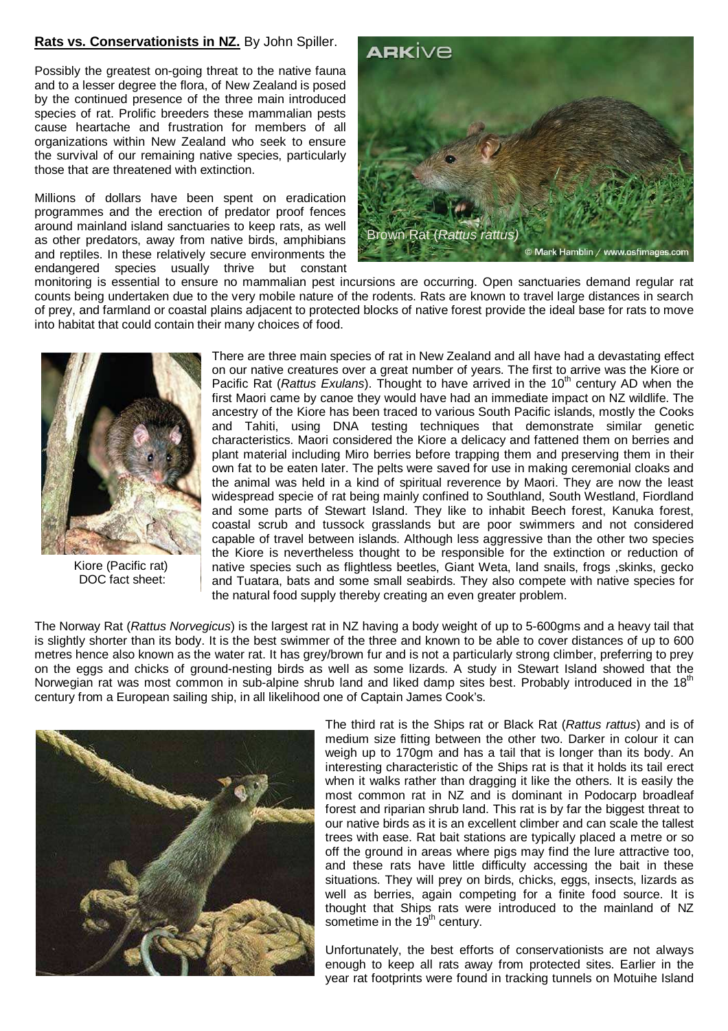## **Rats vs. Conservationists in NZ.** By John Spiller.

Possibly the greatest on-going threat to the native fauna and to a lesser degree the flora, of New Zealand is posed by the continued presence of the three main introduced species of rat. Prolific breeders these mammalian pests cause heartache and frustration for members of all organizations within New Zealand who seek to ensure the survival of our remaining native species, particularly those that are threatened with extinction.

Millions of dollars have been spent on eradication programmes and the erection of predator proof fences around mainland island sanctuaries to keep rats, as well as other predators, away from native birds, amphibians and reptiles. In these relatively secure environments the endangered species usually thrive but constant



monitoring is essential to ensure no mammalian pest incursions are occurring. Open sanctuaries demand regular rat counts being undertaken due to the very mobile nature of the rodents. Rats are known to travel large distances in search of prey, and farmland or coastal plains adjacent to protected blocks of native forest provide the ideal base for rats to move into habitat that could contain their many choices of food.



Kiore (Pacific rat) DOC fact sheet:

There are three main species of rat in New Zealand and all have had a devastating effect on our native creatures over a great number of years. The first to arrive was the Kiore or Pacific Rat (Rattus Exulans). Thought to have arrived in the  $10<sup>th</sup>$  century AD when the first Maori came by canoe they would have had an immediate impact on NZ wildlife. The ancestry of the Kiore has been traced to various South Pacific islands, mostly the Cooks and Tahiti, using DNA testing techniques that demonstrate similar genetic characteristics. Maori considered the Kiore a delicacy and fattened them on berries and plant material including Miro berries before trapping them and preserving them in their own fat to be eaten later. The pelts were saved for use in making ceremonial cloaks and the animal was held in a kind of spiritual reverence by Maori. They are now the least widespread specie of rat being mainly confined to Southland, South Westland, Fiordland and some parts of Stewart Island. They like to inhabit Beech forest, Kanuka forest, coastal scrub and tussock grasslands but are poor swimmers and not considered capable of travel between islands. Although less aggressive than the other two species the Kiore is nevertheless thought to be responsible for the extinction or reduction of native species such as flightless beetles, Giant Weta, land snails, frogs ,skinks, gecko and Tuatara, bats and some small seabirds. They also compete with native species for the natural food supply thereby creating an even greater problem.

The Norway Rat (Rattus Norvegicus) is the largest rat in NZ having a body weight of up to 5-600gms and a heavy tail that is slightly shorter than its body. It is the best swimmer of the three and known to be able to cover distances of up to 600 metres hence also known as the water rat. It has grey/brown fur and is not a particularly strong climber, preferring to prey on the eggs and chicks of ground-nesting birds as well as some lizards. A study in Stewart Island showed that the Norwegian rat was most common in sub-alpine shrub land and liked damp sites best. Probably introduced in the 18<sup>th</sup> century from a European sailing ship, in all likelihood one of Captain James Cook's.



The third rat is the Ships rat or Black Rat (Rattus rattus) and is of medium size fitting between the other two. Darker in colour it can weigh up to 170gm and has a tail that is longer than its body. An interesting characteristic of the Ships rat is that it holds its tail erect when it walks rather than dragging it like the others. It is easily the most common rat in NZ and is dominant in Podocarp broadleaf forest and riparian shrub land. This rat is by far the biggest threat to our native birds as it is an excellent climber and can scale the tallest trees with ease. Rat bait stations are typically placed a metre or so off the ground in areas where pigs may find the lure attractive too, and these rats have little difficulty accessing the bait in these situations. They will prey on birds, chicks, eggs, insects, lizards as well as berries, again competing for a finite food source. It is thought that Ships rats were introduced to the mainland of NZ sometime in the 19<sup>th</sup> century.

Unfortunately, the best efforts of conservationists are not always enough to keep all rats away from protected sites. Earlier in the year rat footprints were found in tracking tunnels on Motuihe Island